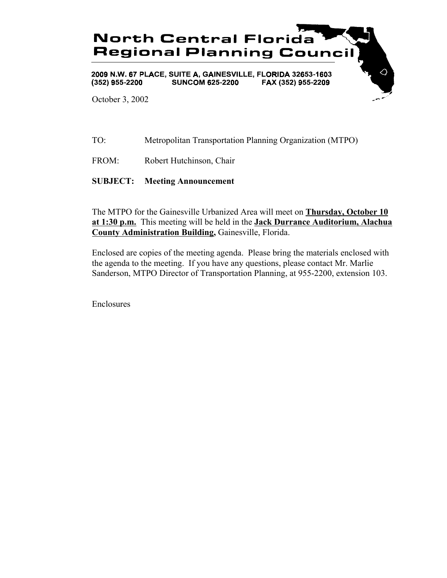

TO: Metropolitan Transportation Planning Organization (MTPO)

FROM: Robert Hutchinson, Chair

**SUBJECT: Meeting Announcement**

The MTPO for the Gainesville Urbanized Area will meet on **Thursday, October 10 at 1:30 p.m.** This meeting will be held in the **Jack Durrance Auditorium, Alachua County Administration Building,** Gainesville, Florida.

Enclosed are copies of the meeting agenda. Please bring the materials enclosed with the agenda to the meeting. If you have any questions, please contact Mr. Marlie Sanderson, MTPO Director of Transportation Planning, at 955-2200, extension 103.

Enclosures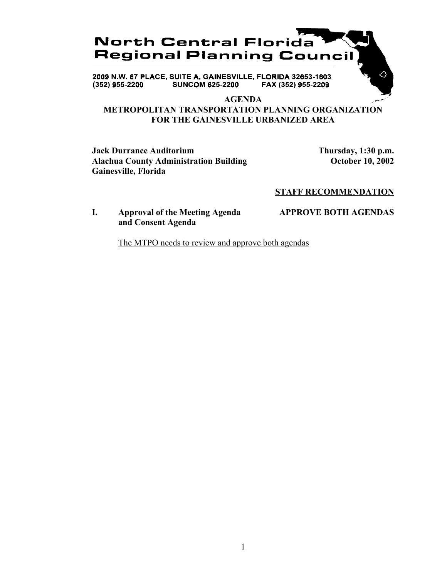

2009 N.W. 67 PLACE, SUITE A, GAINESVILLE, FLORIDA 32653-1603 **SUNCOM 625-2200**  $(352)$  955-2200 FAX (352) 955-2209

#### **AGENDA**

# **METROPOLITAN TRANSPORTATION PLANNING ORGANIZATION FOR THE GAINESVILLE URBANIZED AREA**

**Jack Durrance Auditorium Thursday, 1:30 p.m.** Alachua County Administration Building **County Administration Building October 10, 2002 Gainesville, Florida**

△

## **STAFF RECOMMENDATION**

## **I. Approval of the Meeting Agenda APPROVE BOTH AGENDAS and Consent Agenda**

The MTPO needs to review and approve both agendas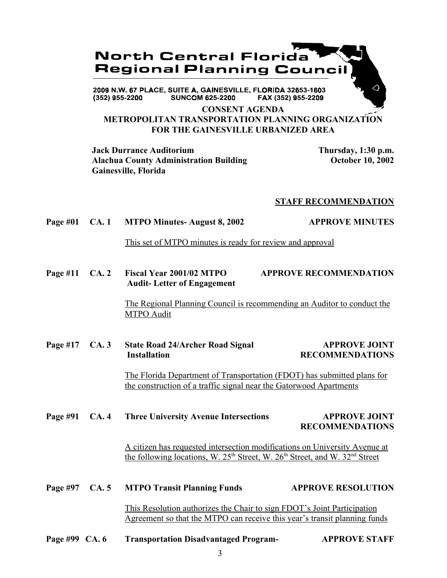

### **CONSENT AGENDA METROPOLITAN TRANSPORTATION PLANNING ORGANIZATION FOR THE GAINESVILLE URBANIZED AREA**

**Jack Durrance Auditorium Thursday, 1:30 p.m.** Alachua County Administration Building **County Administration Building** October 10, 2002 **Gainesville, Florida**

### **STAFF RECOMMENDATION**

# Page #01 CA. 1 MTPO Minutes- August 8, 2002 APPROVE MINUTES

This set of MTPO minutes is ready for review and approval

**Page #11 CA. 2 Fiscal Year 2001/02 MTPO APPROVE RECOMMENDATION Audit- Letter of Engagement**

> The Regional Planning Council is recommending an Auditor to conduct the MTPO Audit

# Page #17 CA. 3 State Road 24/Archer Road Signal APPROVE JOINT **Installation RECOMMENDATIONS**

The Florida Department of Transportation (FDOT) has submitted plans for the construction of a traffic signal near the Gatorwood Apartments

# Page #91 CA. 4 Three University Avenue Intersections **APPROVE JOINT RECOMMENDATIONS**

A citizen has requested intersection modifications on University Avenue at the following locations, W.  $25<sup>th</sup>$  Street, W.  $26<sup>th</sup>$  Street, and W.  $32<sup>nd</sup>$  Street

| Page #97 $CA.5$ | <b>MTPO Transit Planning Funds</b>                                                                                                                   | <b>APPROVE RESOLUTION</b> |
|-----------------|------------------------------------------------------------------------------------------------------------------------------------------------------|---------------------------|
|                 | This Resolution authorizes the Chair to sign FDOT's Joint Participation<br>Agreement so that the MTPO can receive this year's transit planning funds |                           |

**Page #99 CA. 6 Transportation Disadvantaged Program- APPROVE STAFF**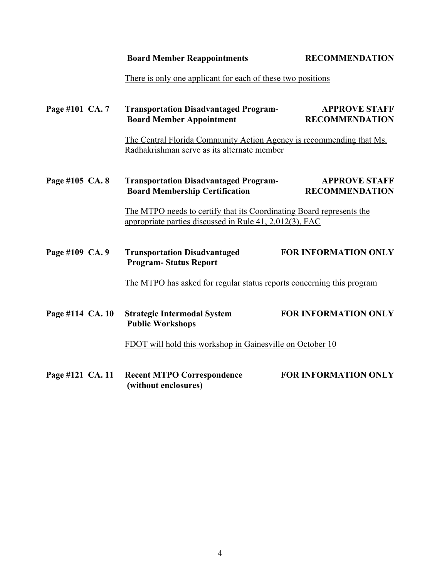**Board Member Reappointments RECOMMENDATION** 

There is only one applicant for each of these two positions

| Page #101 CA. 7                                           |  | <b>Transportation Disadvantaged Program-</b><br><b>Board Member Appointment</b>                                                 | <b>APPROVE STAFF</b><br><b>RECOMMENDATION</b>                        |  |
|-----------------------------------------------------------|--|---------------------------------------------------------------------------------------------------------------------------------|----------------------------------------------------------------------|--|
|                                                           |  | Radhakrishman serve as its alternate member                                                                                     | The Central Florida Community Action Agency is recommending that Ms. |  |
| Page #105 CA. 8                                           |  | <b>Transportation Disadvantaged Program-</b><br><b>Board Membership Certification</b>                                           | <b>APPROVE STAFF</b><br><b>RECOMMENDATION</b>                        |  |
|                                                           |  | The MTPO needs to certify that its Coordinating Board represents the<br>appropriate parties discussed in Rule 41, 2.012(3), FAC |                                                                      |  |
| Page #109 CA. 9                                           |  | <b>Transportation Disadvantaged</b><br><b>Program-Status Report</b>                                                             | <b>FOR INFORMATION ONLY</b>                                          |  |
|                                                           |  | The MTPO has asked for regular status reports concerning this program                                                           |                                                                      |  |
| Page #114 CA. 10                                          |  | <b>Strategic Intermodal System</b><br><b>Public Workshops</b>                                                                   | <b>FOR INFORMATION ONLY</b>                                          |  |
| FDOT will hold this workshop in Gainesville on October 10 |  |                                                                                                                                 |                                                                      |  |
| Page #121 CA. 11                                          |  | <b>Recent MTPO Correspondence</b><br>(without enclosures)                                                                       | <b>FOR INFORMATION ONLY</b>                                          |  |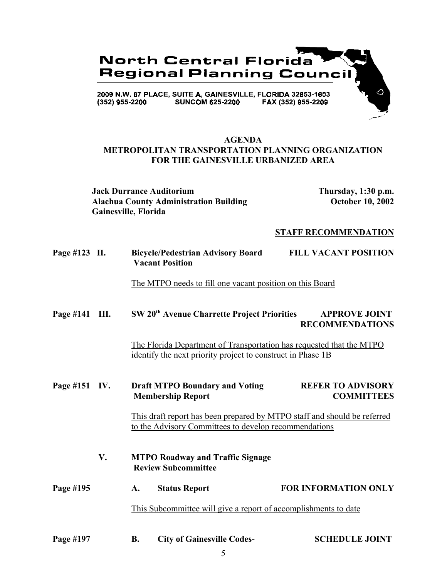

## **AGENDA METROPOLITAN TRANSPORTATION PLANNING ORGANIZATION FOR THE GAINESVILLE URBANIZED AREA**

**Jack Durrance Auditorium Thursday, 1:30 p.m.** Alachua County Administration Building **October 10, 2002 Gainesville, Florida**

### **STAFF RECOMMENDATION**

| Page #123 II. |                                                          | <b>Bicycle/Pedestrian Advisory Board</b><br><b>Vacant Position</b>                                                                  | <b>FILL VACANT POSITION</b>                    |
|---------------|----------------------------------------------------------|-------------------------------------------------------------------------------------------------------------------------------------|------------------------------------------------|
|               | The MTPO needs to fill one vacant position on this Board |                                                                                                                                     |                                                |
| Page #141     | III.                                                     | SW 20 <sup>th</sup> Avenue Charrette Project Priorities                                                                             | <b>APPROVE JOINT</b><br><b>RECOMMENDATIONS</b> |
|               |                                                          | The Florida Department of Transportation has requested that the MTPO<br>identify the next priority project to construct in Phase 1B |                                                |
| Page #151 IV. |                                                          | <b>Draft MTPO Boundary and Voting</b><br><b>Membership Report</b>                                                                   | <b>REFER TO ADVISORY</b><br><b>COMMITTEES</b>  |
|               |                                                          | This draft report has been prepared by MTPO staff and should be referred<br>to the Advisory Committees to develop recommendations   |                                                |

- **V. MTPO Roadway and Traffic Signage Review Subcommittee**
- Page #195 A. Status Report **FOR INFORMATION ONLY** This Subcommittee will give a report of accomplishments to date
- Page #197 B. City of Gainesville Codes- SCHEDULE JOINT